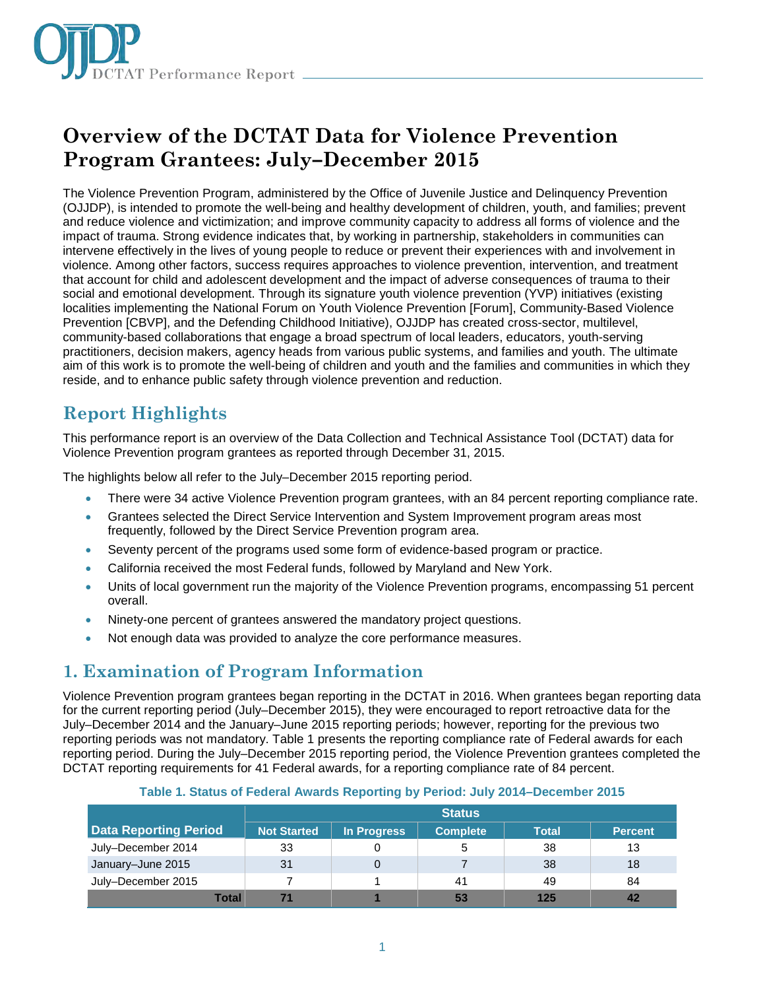

# **Overview of the DCTAT Data for Violence Prevention Program Grantees: July–December 2015**

The Violence Prevention Program, administered by the Office of Juvenile Justice and Delinquency Prevention (OJJDP), is intended to promote the well-being and healthy development of children, youth, and families; prevent and reduce violence and victimization; and improve community capacity to address all forms of violence and the impact of trauma. Strong evidence indicates that, by working in partnership, stakeholders in communities can intervene effectively in the lives of young people to reduce or prevent their experiences with and involvement in violence. Among other factors, success requires approaches to violence prevention, intervention, and treatment that account for child and adolescent development and the impact of adverse consequences of trauma to their social and emotional development. Through its signature youth violence prevention (YVP) initiatives (existing localities implementing the National Forum on Youth Violence Prevention [Forum], Community-Based Violence Prevention [CBVP], and the Defending Childhood Initiative), OJJDP has created cross-sector, multilevel, community-based collaborations that engage a broad spectrum of local leaders, educators, youth-serving practitioners, decision makers, agency heads from various public systems, and families and youth. The ultimate aim of this work is to promote the well-being of children and youth and the families and communities in which they reside, and to enhance public safety through violence prevention and reduction.

### **Report Highlights**

This performance report is an overview of the Data Collection and Technical Assistance Tool (DCTAT) data for Violence Prevention program grantees as reported through December 31, 2015.

The highlights below all refer to the July–December 2015 reporting period.

- There were 34 active Violence Prevention program grantees, with an 84 percent reporting compliance rate.
- Grantees selected the Direct Service Intervention and System Improvement program areas most frequently, followed by the Direct Service Prevention program area.
- Seventy percent of the programs used some form of evidence-based program or practice.
- California received the most Federal funds, followed by Maryland and New York.
- Units of local government run the majority of the Violence Prevention programs, encompassing 51 percent overall.
- Ninety-one percent of grantees answered the mandatory project questions.
- Not enough data was provided to analyze the core performance measures.

### **1. Examination of Program Information**

Violence Prevention program grantees began reporting in the DCTAT in 2016. When grantees began reporting data for the current reporting period (July–December 2015), they were encouraged to report retroactive data for the July–December 2014 and the January–June 2015 reporting periods; however, reporting for the previous two reporting periods was not mandatory. Table 1 presents the reporting compliance rate of Federal awards for each reporting period. During the July–December 2015 reporting period, the Violence Prevention grantees completed the DCTAT reporting requirements for 41 Federal awards, for a reporting compliance rate of 84 percent.

|                              | <b>Status</b>      |             |                 |              |                |  |  |
|------------------------------|--------------------|-------------|-----------------|--------------|----------------|--|--|
| <b>Data Reporting Period</b> | <b>Not Started</b> | In Progress | <b>Complete</b> | <b>Total</b> | <b>Percent</b> |  |  |
| July-December 2014           | 33                 |             | 5               | 38           | 13             |  |  |
| January-June 2015            | 31                 | $\Omega$    |                 | 38           | 18             |  |  |
| July-December 2015           |                    |             | 41              | 49           | 84             |  |  |
| Total                        |                    |             | 53              | 125          |                |  |  |

#### **Table 1. Status of Federal Awards Reporting by Period: July 2014–December 2015**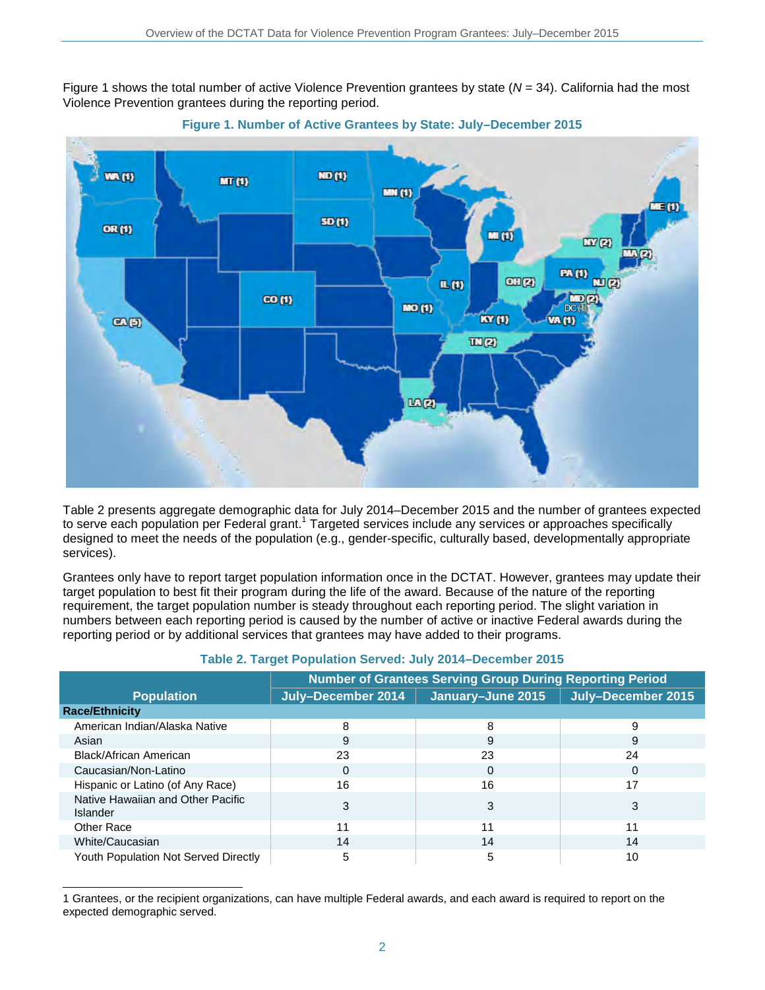Figure 1 shows the total number of active Violence Prevention grantees by state ( $N = 34$ ). California had the most Violence Prevention grantees during the reporting period.





Table 2 presents aggregate demographic data for July 2014–December 2015 and the number of grantees expected to serve each population per Federal grant.<sup>1</sup> Targeted services include any services or approaches specifically designed to meet the needs of the population (e.g., gender-specific, culturally based, developmentally appropriate services).

Grantees only have to report target population information once in the DCTAT. However, grantees may update their target population to best fit their program during the life of the award. Because of the nature of the reporting requirement, the target population number is steady throughout each reporting period. The slight variation in numbers between each reporting period is caused by the number of active or inactive Federal awards during the reporting period or by additional services that grantees may have added to their programs.

|                                               | <b>Number of Grantees Serving Group During Reporting Period</b> |                   |                    |  |  |  |  |
|-----------------------------------------------|-----------------------------------------------------------------|-------------------|--------------------|--|--|--|--|
| <b>Population</b>                             | July-December 2014                                              | January-June 2015 | July-December 2015 |  |  |  |  |
| <b>Race/Ethnicity</b>                         |                                                                 |                   |                    |  |  |  |  |
| American Indian/Alaska Native                 | 8                                                               | 8                 | 9                  |  |  |  |  |
| Asian                                         | 9                                                               | 9                 | 9                  |  |  |  |  |
| Black/African American                        | 23                                                              | 23                | 24                 |  |  |  |  |
| Caucasian/Non-Latino                          | 0                                                               | $\Omega$          | 0                  |  |  |  |  |
| Hispanic or Latino (of Any Race)              | 16                                                              | 16                | 17                 |  |  |  |  |
| Native Hawaiian and Other Pacific<br>Islander | 3                                                               | 3                 | 3                  |  |  |  |  |
| <b>Other Race</b>                             | 11                                                              | 11                | 11                 |  |  |  |  |
| White/Caucasian                               | 14                                                              | 14                | 14                 |  |  |  |  |
| <b>Youth Population Not Served Directly</b>   | 5                                                               | 5                 | 10                 |  |  |  |  |

#### **Table 2. Target Population Served: July 2014–December 2015**

1 Grantees, or the recipient organizations, can have multiple Federal awards, and each award is required to report on the expected demographic served.

j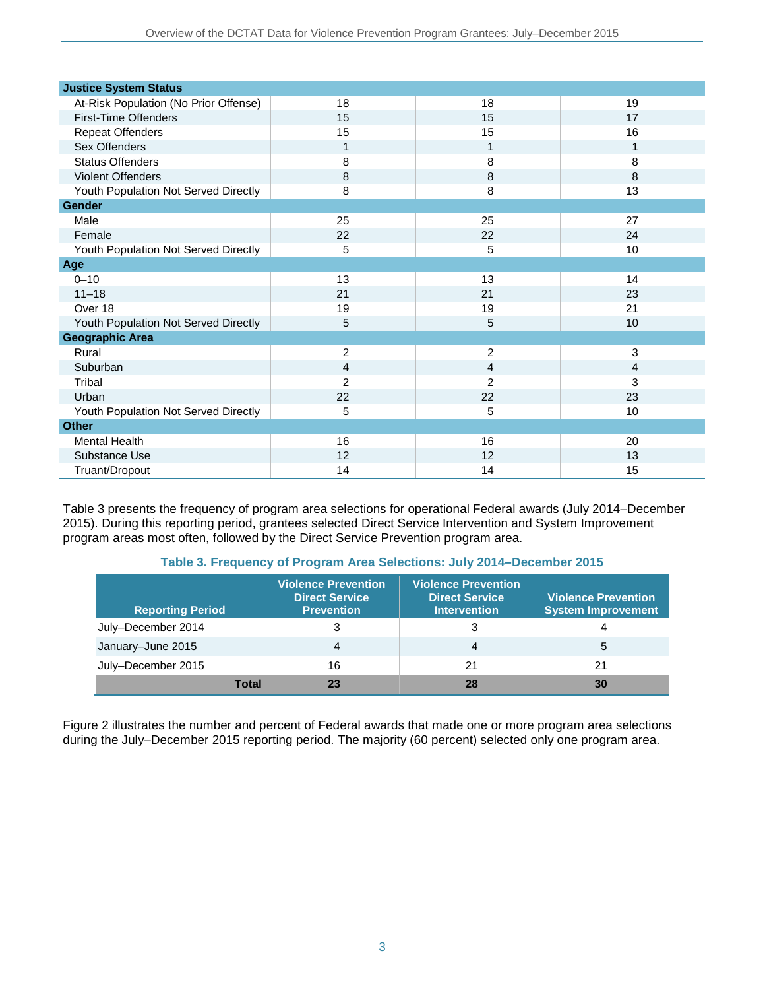| <b>Justice System Status</b>          |                |                |    |
|---------------------------------------|----------------|----------------|----|
| At-Risk Population (No Prior Offense) | 18             | 18             | 19 |
| <b>First-Time Offenders</b>           | 15             | 15             | 17 |
| <b>Repeat Offenders</b>               | 15             | 15             | 16 |
| Sex Offenders                         | 1              | 1              | 1  |
| <b>Status Offenders</b>               | 8              | 8              | 8  |
| Violent Offenders                     | 8              | 8              | 8  |
| Youth Population Not Served Directly  | 8              | 8              | 13 |
| Gender                                |                |                |    |
| Male                                  | 25             | 25             | 27 |
| Female                                | 22             | 22             | 24 |
| Youth Population Not Served Directly  | 5              | 5              | 10 |
| Age                                   |                |                |    |
| $0 - 10$                              | 13             | 13             | 14 |
| $11 - 18$                             | 21             | 21             | 23 |
| Over 18                               | 19             | 19             | 21 |
| Youth Population Not Served Directly  | 5              | 5              | 10 |
| <b>Geographic Area</b>                |                |                |    |
| Rural                                 | $\overline{c}$ | $\overline{2}$ | 3  |
| Suburban                              | 4              | $\overline{4}$ | 4  |
| Tribal                                | $\overline{c}$ | $\overline{2}$ | 3  |
| Urban                                 | 22             | 22             | 23 |
| Youth Population Not Served Directly  | 5              | 5              | 10 |
| <b>Other</b>                          |                |                |    |
| Mental Health                         | 16             | 16             | 20 |
| Substance Use                         | 12             | 12             | 13 |
| Truant/Dropout                        | 14             | 14             | 15 |

Table 3 presents the frequency of program area selections for operational Federal awards (July 2014–December 2015). During this reporting period, grantees selected Direct Service Intervention and System Improvement program areas most often, followed by the Direct Service Prevention program area.

#### **Table 3. Frequency of Program Area Selections: July 2014–December 2015**

| <b>Reporting Period</b> | Violence Prevention<br><b>Direct Service</b><br><b>Prevention</b> | <b>Violence Prevention</b><br><b>Direct Service</b><br><b>Intervention</b> | <b>Violence Prevention</b><br><b>System Improvement</b> |
|-------------------------|-------------------------------------------------------------------|----------------------------------------------------------------------------|---------------------------------------------------------|
| July-December 2014      | 3                                                                 | 3                                                                          |                                                         |
| January-June 2015       | 4                                                                 | 4                                                                          | 5                                                       |
| July-December 2015      | 16                                                                | 21                                                                         | 21                                                      |
| <b>Total</b>            |                                                                   | 28                                                                         | 30                                                      |

Figure 2 illustrates the number and percent of Federal awards that made one or more program area selections during the July–December 2015 reporting period. The majority (60 percent) selected only one program area.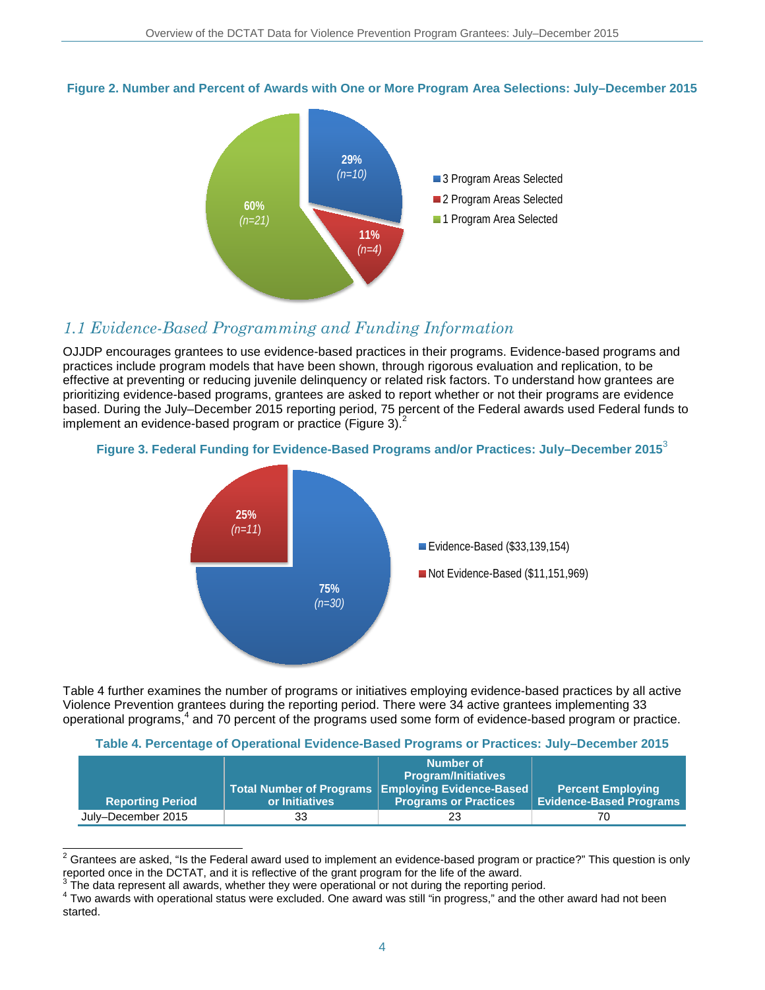#### **Figure 2. Number and Percent of Awards with One or More Program Area Selections: July–December 2015**



### *1.1 Evidence-Based Programming and Funding Information*

OJJDP encourages grantees to use evidence-based practices in their programs. Evidence-based programs and practices include program models that have been shown, through rigorous evaluation and replication, to be effective at preventing or reducing juvenile delinquency or related risk factors. To understand how grantees are prioritizing evidence-based programs, grantees are asked to report whether or not their programs are evidence based. During the July–December 2015 reporting period, 75 percent of the Federal awards used Federal funds to implement an evidence-based program or practice (Figure 3). $<sup>2</sup>$ </sup>

#### **Figure 3. Federal Funding for Evidence-Based Programs and/or Practices: July–December 2015**<sup>3</sup>



Table 4 further examines the number of programs or initiatives employing evidence-based practices by all active Violence Prevention grantees during the reporting period. There were 34 active grantees implementing 33 operational programs, <sup>4</sup> and 70 percent of the programs used some form of evidence-based program or practice.

#### **Table 4. Percentage of Operational Evidence-Based Programs or Practices: July–December 2015**

|                         |                | Number of<br><b>Program/Initiatives</b>                                               |                                                            |
|-------------------------|----------------|---------------------------------------------------------------------------------------|------------------------------------------------------------|
| <b>Reporting Period</b> | or Initiatives | Total Number of Programs   Employing Evidence-Based  <br><b>Programs or Practices</b> | <b>Percent Employing</b><br><b>Evidence-Based Programs</b> |
| July-December 2015      | 33             | 23                                                                                    | 70                                                         |

 $\overline{a}$  $^2$  Grantees are asked, "Is the Federal award used to implement an evidence-based program or practice?" This question is only reported once in the DCTAT, and it is reflective of the grant program for the life of the award.<br><sup>3</sup> The data represent all awards, whether they were operational or not during the reporting period.

 $3$  Two awards with operational status were excluded. One award was still "in progress," and the other award had not been started.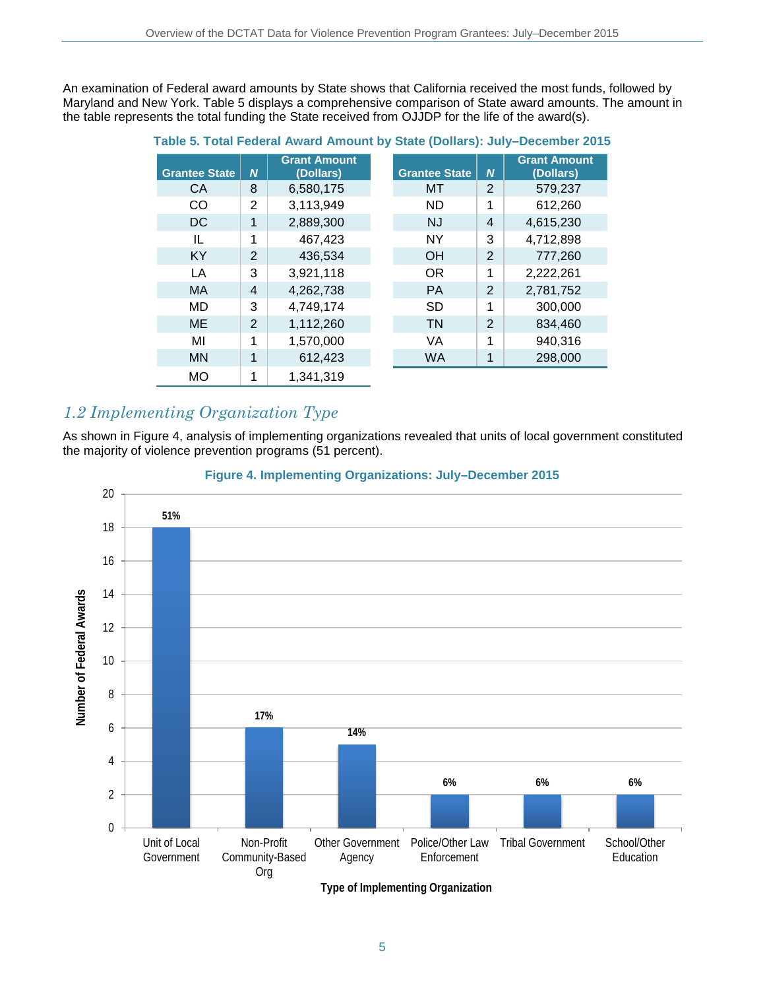An examination of Federal award amounts by State shows that California received the most funds, followed by Maryland and New York. Table 5 displays a comprehensive comparison of State award amounts. The amount in the table represents the total funding the State received from OJJDP for the life of the award(s).

| <u>rable 5. Fotal Federal Award Amount by State (Donars). Jury-December 2015</u> |                  |                                  |  |                      |                  |                                  |
|----------------------------------------------------------------------------------|------------------|----------------------------------|--|----------------------|------------------|----------------------------------|
| <b>Grantee State</b>                                                             | $\boldsymbol{N}$ | <b>Grant Amount</b><br>(Dollars) |  | <b>Grantee State</b> | $\boldsymbol{N}$ | <b>Grant Amount</b><br>(Dollars) |
| <b>CA</b>                                                                        | 8                | 6,580,175                        |  | MT                   | 2                | 579,237                          |
| CO                                                                               | $\overline{2}$   | 3,113,949                        |  | <b>ND</b>            | 1                | 612,260                          |
| DC.                                                                              | 1                | 2,889,300                        |  | <b>NJ</b>            | $\overline{4}$   | 4,615,230                        |
| IL                                                                               | 1                | 467,423                          |  | <b>NY</b>            | 3                | 4,712,898                        |
| <b>KY</b>                                                                        | $\overline{2}$   | 436,534                          |  | <b>OH</b>            | $\overline{2}$   | 777,260                          |
| LA                                                                               | 3                | 3,921,118                        |  | <b>OR</b>            | 1                | 2,222,261                        |
| MA                                                                               | 4                | 4,262,738                        |  | <b>PA</b>            | 2                | 2,781,752                        |
| MD                                                                               | 3                | 4,749,174                        |  | <b>SD</b>            | 1                | 300,000                          |
| ME                                                                               | 2                | 1,112,260                        |  | <b>TN</b>            | $\overline{2}$   | 834,460                          |
| MI                                                                               | 1                | 1,570,000                        |  | VA                   | 1                | 940,316                          |
| <b>MN</b>                                                                        | 1                | 612,423                          |  | <b>WA</b>            | 1                | 298,000                          |
| <b>MO</b>                                                                        | 1                | 1,341,319                        |  |                      |                  |                                  |

#### **Table 5. Total Federal Award Amount by State (Dollars): July–December 2015**

### *1.2 Implementing Organization Type*

As shown in Figure 4, analysis of implementing organizations revealed that units of local government constituted the majority of violence prevention programs (51 percent).



#### **Figure 4. Implementing Organizations: July–December 2015**

**Type of Implementing Organization**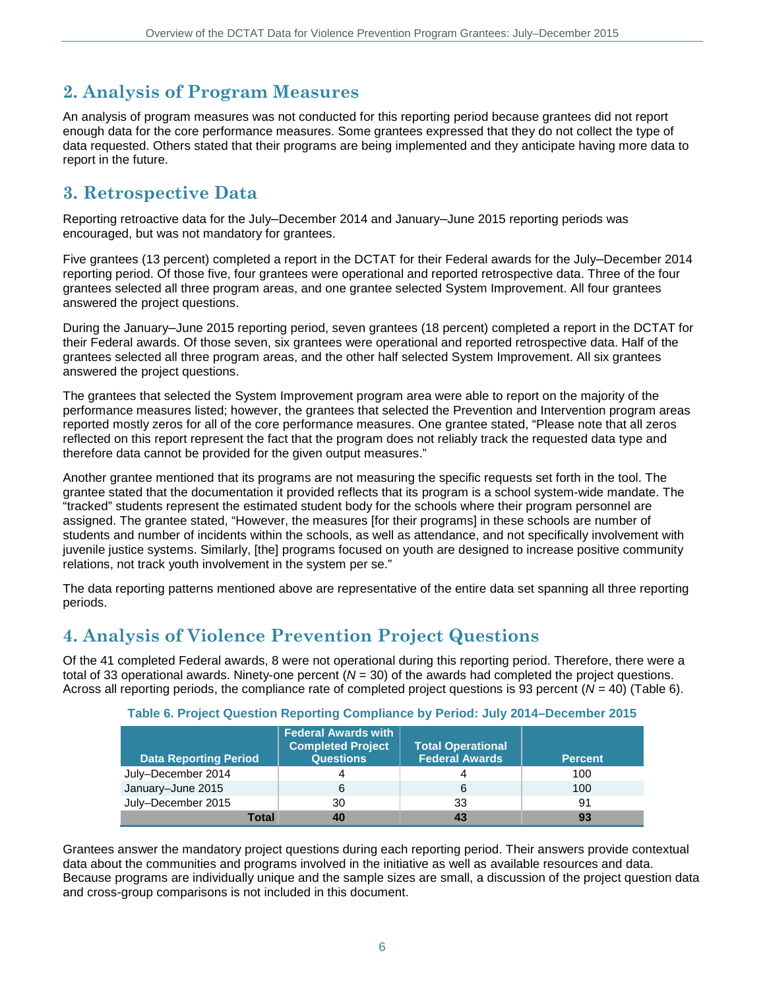## **2. Analysis of Program Measures**

An analysis of program measures was not conducted for this reporting period because grantees did not report enough data for the core performance measures. Some grantees expressed that they do not collect the type of data requested. Others stated that their programs are being implemented and they anticipate having more data to report in the future.

### **3. Retrospective Data**

Reporting retroactive data for the July–December 2014 and January–June 2015 reporting periods was encouraged, but was not mandatory for grantees.

Five grantees (13 percent) completed a report in the DCTAT for their Federal awards for the July–December 2014 reporting period. Of those five, four grantees were operational and reported retrospective data. Three of the four grantees selected all three program areas, and one grantee selected System Improvement. All four grantees answered the project questions.

During the January–June 2015 reporting period, seven grantees (18 percent) completed a report in the DCTAT for their Federal awards. Of those seven, six grantees were operational and reported retrospective data. Half of the grantees selected all three program areas, and the other half selected System Improvement. All six grantees answered the project questions.

The grantees that selected the System Improvement program area were able to report on the majority of the performance measures listed; however, the grantees that selected the Prevention and Intervention program areas reported mostly zeros for all of the core performance measures. One grantee stated, "Please note that all zeros reflected on this report represent the fact that the program does not reliably track the requested data type and therefore data cannot be provided for the given output measures."

Another grantee mentioned that its programs are not measuring the specific requests set forth in the tool. The grantee stated that the documentation it provided reflects that its program is a school system-wide mandate. The "tracked" students represent the estimated student body for the schools where their program personnel are assigned. The grantee stated, "However, the measures [for their programs] in these schools are number of students and number of incidents within the schools, as well as attendance, and not specifically involvement with juvenile justice systems. Similarly, [the] programs focused on youth are designed to increase positive community relations, not track youth involvement in the system per se."

The data reporting patterns mentioned above are representative of the entire data set spanning all three reporting periods.

### **4. Analysis of Violence Prevention Project Questions**

Of the 41 completed Federal awards, 8 were not operational during this reporting period. Therefore, there were a total of 33 operational awards. Ninety-one percent (*N* = 30) of the awards had completed the project questions. Across all reporting periods, the compliance rate of completed project questions is 93 percent (*N* = 40) (Table 6).

| Table 6. Project Question Reporting Compliance by Period: July 2014–December 2015 |  |  |  |  |  |  |  |  |  |
|-----------------------------------------------------------------------------------|--|--|--|--|--|--|--|--|--|
|-----------------------------------------------------------------------------------|--|--|--|--|--|--|--|--|--|

| <b>Data Reporting Period</b> | <b>Federal Awards with</b><br><b>Completed Project</b><br><b>Questions</b> | <b>Total Operational</b><br><b>Federal Awards</b> | <b>Percent</b> |
|------------------------------|----------------------------------------------------------------------------|---------------------------------------------------|----------------|
| July-December 2014           |                                                                            | 4                                                 | 100            |
| January-June 2015            | 6                                                                          | 6                                                 | 100            |
| July-December 2015           | 30                                                                         | 33                                                | 91             |
| Total                        | 40                                                                         | 43                                                | 93             |

Grantees answer the mandatory project questions during each reporting period. Their answers provide contextual data about the communities and programs involved in the initiative as well as available resources and data. Because programs are individually unique and the sample sizes are small, a discussion of the project question data and cross-group comparisons is not included in this document.